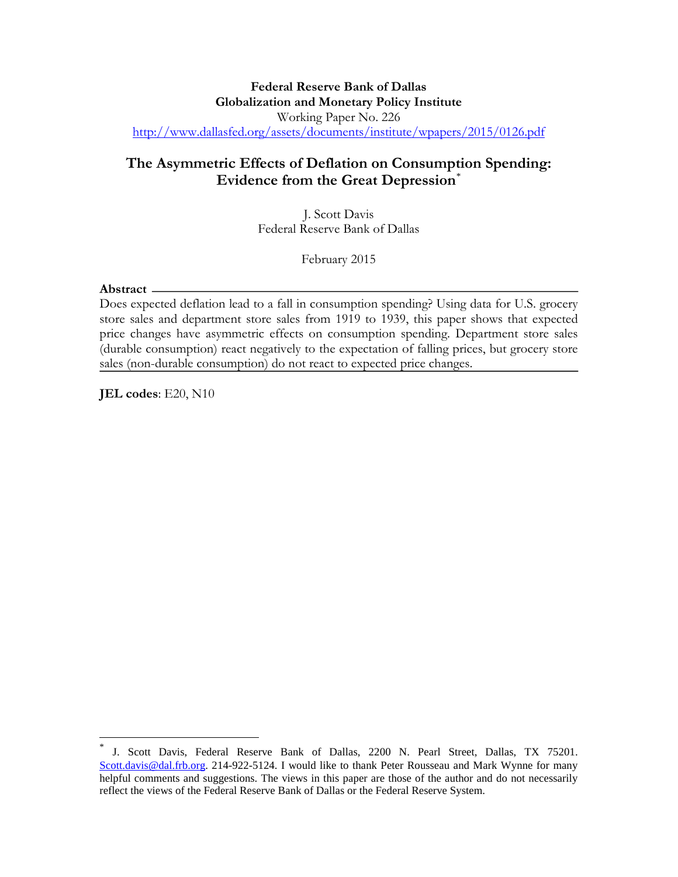#### **Federal Reserve Bank of Dallas Globalization and Monetary Policy Institute**  Working Paper No. 226 <http://www.dallasfed.org/assets/documents/institute/wpapers/2015/0126.pdf>

### **The Asymmetric Effects of Deflation on Consumption Spending: Evidence from the Great Depression**[\\*](#page-0-0)

J. Scott Davis Federal Reserve Bank of Dallas

February 2015

#### **Abstract**

 $\overline{a}$ 

Does expected deflation lead to a fall in consumption spending? Using data for U.S. grocery store sales and department store sales from 1919 to 1939, this paper shows that expected price changes have asymmetric effects on consumption spending. Department store sales (durable consumption) react negatively to the expectation of falling prices, but grocery store sales (non-durable consumption) do not react to expected price changes.

**JEL codes**: E20, N10

<span id="page-0-0"></span>J. Scott Davis, Federal Reserve Bank of Dallas, 2200 N. Pearl Street, Dallas, TX 75201. [Scott.davis@dal.frb.org.](mailto:Scott.davis@dal.frb.org) 214-922-5124. I would like to thank Peter Rousseau and Mark Wynne for many helpful comments and suggestions. The views in this paper are those of the author and do not necessarily reflect the views of the Federal Reserve Bank of Dallas or the Federal Reserve System.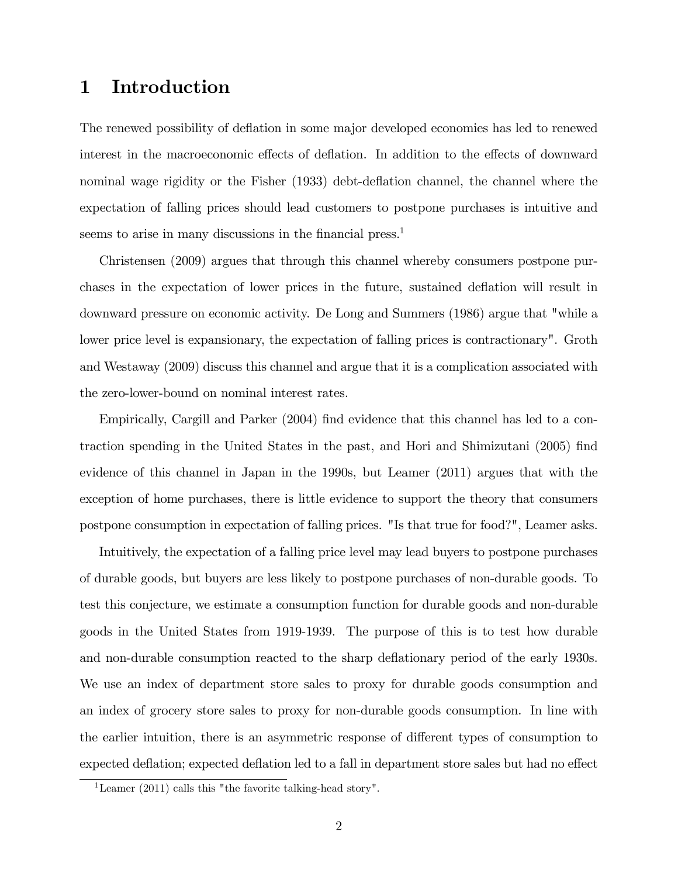# 1 Introduction

The renewed possibility of deflation in some major developed economies has led to renewed interest in the macroeconomic effects of deflation. In addition to the effects of downward nominal wage rigidity or the Fisher (1933) debt-deflation channel, the channel where the expectation of falling prices should lead customers to postpone purchases is intuitive and seems to arise in many discussions in the financial press.<sup>1</sup>

Christensen (2009) argues that through this channel whereby consumers postpone purchases in the expectation of lower prices in the future, sustained deáation will result in downward pressure on economic activity. De Long and Summers (1986) argue that "while a lower price level is expansionary, the expectation of falling prices is contractionary". Groth and Westaway (2009) discuss this channel and argue that it is a complication associated with the zero-lower-bound on nominal interest rates.

Empirically, Cargill and Parker (2004) find evidence that this channel has led to a contraction spending in the United States in the past, and Hori and Shimizutani (2005) find evidence of this channel in Japan in the 1990s, but Leamer (2011) argues that with the exception of home purchases, there is little evidence to support the theory that consumers postpone consumption in expectation of falling prices. "Is that true for food?", Leamer asks.

Intuitively, the expectation of a falling price level may lead buyers to postpone purchases of durable goods, but buyers are less likely to postpone purchases of non-durable goods. To test this conjecture, we estimate a consumption function for durable goods and non-durable goods in the United States from 1919-1939. The purpose of this is to test how durable and non-durable consumption reacted to the sharp deflationary period of the early 1930s. We use an index of department store sales to proxy for durable goods consumption and an index of grocery store sales to proxy for non-durable goods consumption. In line with the earlier intuition, there is an asymmetric response of different types of consumption to expected deflation; expected deflation led to a fall in department store sales but had no effect

<sup>&</sup>lt;sup>1</sup>Leamer (2011) calls this "the favorite talking-head story".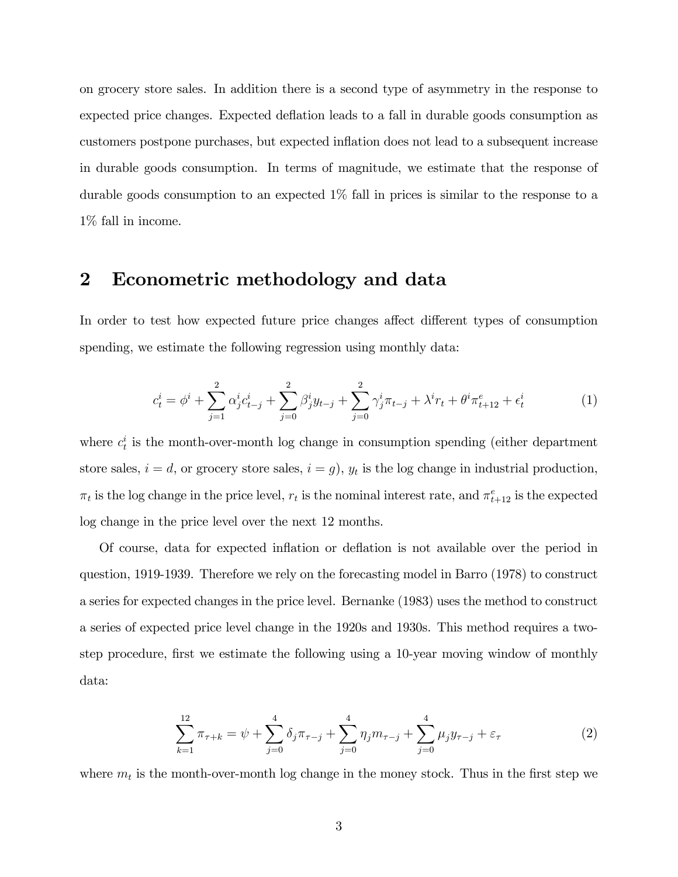on grocery store sales. In addition there is a second type of asymmetry in the response to expected price changes. Expected deflation leads to a fall in durable goods consumption as customers postpone purchases, but expected ináation does not lead to a subsequent increase in durable goods consumption. In terms of magnitude, we estimate that the response of durable goods consumption to an expected 1% fall in prices is similar to the response to a 1% fall in income.

### 2 Econometric methodology and data

In order to test how expected future price changes affect different types of consumption spending, we estimate the following regression using monthly data:

$$
c_t^i = \phi^i + \sum_{j=1}^2 \alpha_j^i c_{t-j}^i + \sum_{j=0}^2 \beta_j^i y_{t-j} + \sum_{j=0}^2 \gamma_j^i \pi_{t-j} + \lambda^i r_t + \theta^i \pi_{t+12}^e + \epsilon_t^i
$$
 (1)

where  $c_t^i$  is the month-over-month log change in consumption spending (either department store sales,  $i = d$ , or grocery store sales,  $i = g$ ,  $y_t$  is the log change in industrial production,  $\pi_t$  is the log change in the price level,  $r_t$  is the nominal interest rate, and  $\pi_{t+12}^e$  is the expected log change in the price level over the next 12 months.

Of course, data for expected ináation or deáation is not available over the period in question, 1919-1939. Therefore we rely on the forecasting model in Barro (1978) to construct a series for expected changes in the price level. Bernanke (1983) uses the method to construct a series of expected price level change in the 1920s and 1930s. This method requires a twostep procedure, first we estimate the following using a 10-year moving window of monthly data:

$$
\sum_{k=1}^{12} \pi_{\tau+k} = \psi + \sum_{j=0}^{4} \delta_j \pi_{\tau-j} + \sum_{j=0}^{4} \eta_j m_{\tau-j} + \sum_{j=0}^{4} \mu_j y_{\tau-j} + \varepsilon_{\tau}
$$
 (2)

where  $m_t$  is the month-over-month log change in the money stock. Thus in the first step we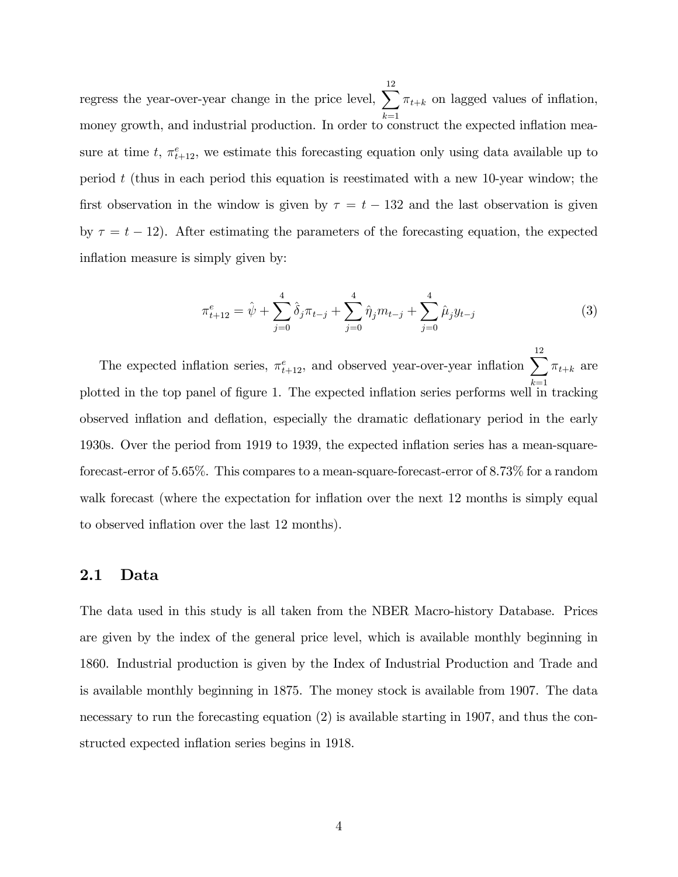regress the year-over-year change in the price level,  $\sum_{\tau_{t+k}} \tau_{t+k}$  on lagged values of inflation, 12 money growth, and industrial production. In order to construct the expected inflation measure at time t,  $\pi_{t+12}^e$ , we estimate this forecasting equation only using data available up to period  $t$  (thus in each period this equation is reestimated with a new 10-year window; the first observation in the window is given by  $\tau = t - 132$  and the last observation is given by  $\tau = t - 12$ ). After estimating the parameters of the forecasting equation, the expected inflation measure is simply given by:

$$
\pi_{t+12}^e = \hat{\psi} + \sum_{j=0}^4 \hat{\delta}_j \pi_{t-j} + \sum_{j=0}^4 \hat{\eta}_j m_{t-j} + \sum_{j=0}^4 \hat{\mu}_j y_{t-j}
$$
(3)

The expected inflation series,  $\pi_{t+12}^e$ , and observed year-over-year inflation  $\sum^{12}$  $_{k=1}$  $\pi_{t+k}$  are plotted in the top panel of figure 1. The expected inflation series performs well in tracking observed inflation and deflation, especially the dramatic deflationary period in the early 1930s. Over the period from 1919 to 1939, the expected ináation series has a mean-squareforecast-error of 5.65%. This compares to a mean-square-forecast-error of 8.73% for a random walk forecast (where the expectation for inflation over the next 12 months is simply equal to observed inflation over the last 12 months).

#### 2.1 Data

The data used in this study is all taken from the NBER Macro-history Database. Prices are given by the index of the general price level, which is available monthly beginning in 1860. Industrial production is given by the Index of Industrial Production and Trade and is available monthly beginning in 1875. The money stock is available from 1907. The data necessary to run the forecasting equation (2) is available starting in 1907, and thus the constructed expected inflation series begins in 1918.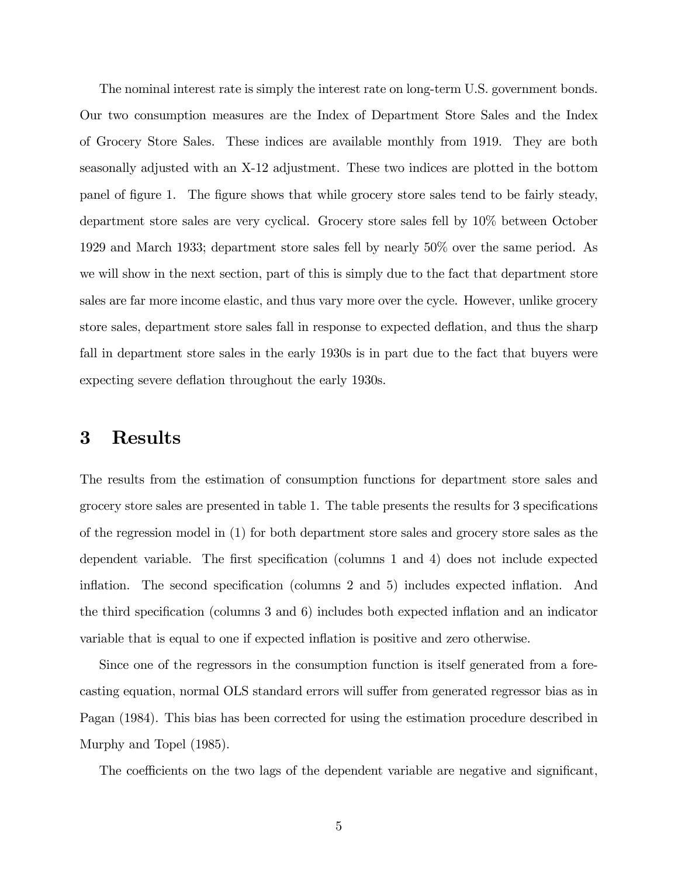The nominal interest rate is simply the interest rate on long-term U.S. government bonds. Our two consumption measures are the Index of Department Store Sales and the Index of Grocery Store Sales. These indices are available monthly from 1919. They are both seasonally adjusted with an X-12 adjustment. These two indices are plotted in the bottom panel of figure 1. The figure shows that while grocery store sales tend to be fairly steady, department store sales are very cyclical. Grocery store sales fell by 10% between October 1929 and March 1933; department store sales fell by nearly 50% over the same period. As we will show in the next section, part of this is simply due to the fact that department store sales are far more income elastic, and thus vary more over the cycle. However, unlike grocery store sales, department store sales fall in response to expected deflation, and thus the sharp fall in department store sales in the early 1930s is in part due to the fact that buyers were expecting severe deflation throughout the early 1930s.

## 3 Results

The results from the estimation of consumption functions for department store sales and grocery store sales are presented in table 1. The table presents the results for 3 specifications of the regression model in (1) for both department store sales and grocery store sales as the dependent variable. The first specification (columns 1 and 4) does not include expected inflation. The second specification (columns  $2$  and  $5$ ) includes expected inflation. And the third specification (columns  $3$  and  $6$ ) includes both expected inflation and an indicator variable that is equal to one if expected ináation is positive and zero otherwise.

Since one of the regressors in the consumption function is itself generated from a forecasting equation, normal OLS standard errors will suffer from generated regressor bias as in Pagan (1984). This bias has been corrected for using the estimation procedure described in Murphy and Topel (1985).

The coefficients on the two lags of the dependent variable are negative and significant,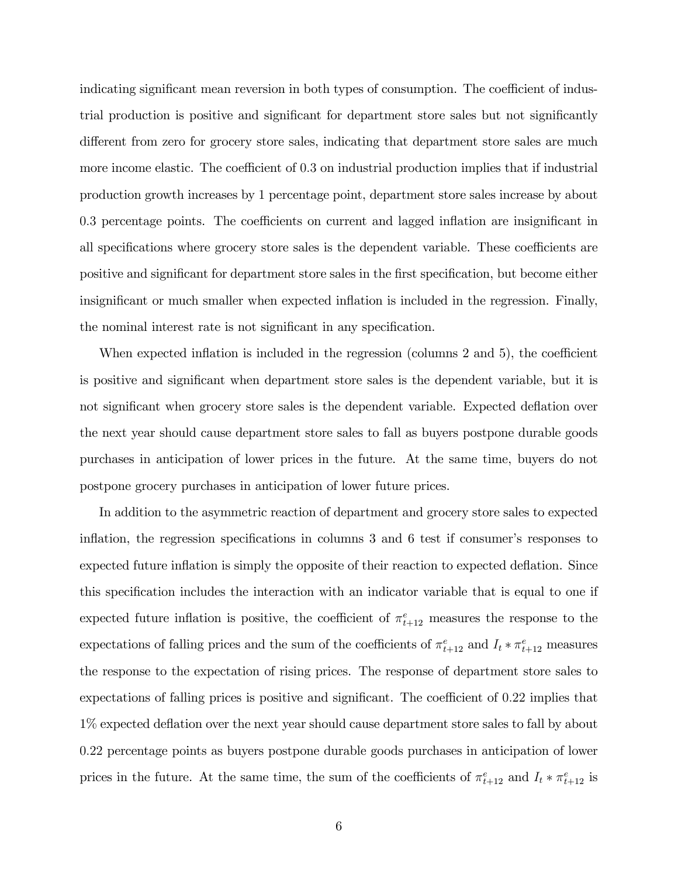indicating significant mean reversion in both types of consumption. The coefficient of industrial production is positive and significant for department store sales but not significantly different from zero for grocery store sales, indicating that department store sales are much more income elastic. The coefficient of  $0.3$  on industrial production implies that if industrial production growth increases by 1 percentage point, department store sales increase by about 0.3 percentage points. The coefficients on current and lagged inflation are insignificant in all specifications where grocery store sales is the dependent variable. These coefficients are positive and significant for department store sales in the first specification, but become either insignificant or much smaller when expected inflation is included in the regression. Finally, the nominal interest rate is not significant in any specification.

When expected inflation is included in the regression (columns  $2$  and  $5$ ), the coefficient is positive and significant when department store sales is the dependent variable, but it is not significant when grocery store sales is the dependent variable. Expected deflation over the next year should cause department store sales to fall as buyers postpone durable goods purchases in anticipation of lower prices in the future. At the same time, buyers do not postpone grocery purchases in anticipation of lower future prices.

In addition to the asymmetric reaction of department and grocery store sales to expected inflation, the regression specifications in columns  $3$  and  $6$  test if consumer's responses to expected future inflation is simply the opposite of their reaction to expected deflation. Since this specification includes the interaction with an indicator variable that is equal to one if expected future inflation is positive, the coefficient of  $\pi_{t+12}^e$  measures the response to the expectations of falling prices and the sum of the coefficients of  $\pi_{t+12}^e$  and  $I_t * \pi_{t+12}^e$  measures the response to the expectation of rising prices. The response of department store sales to expectations of falling prices is positive and significant. The coefficient of 0.22 implies that 1% expected deflation over the next year should cause department store sales to fall by about 0:22 percentage points as buyers postpone durable goods purchases in anticipation of lower prices in the future. At the same time, the sum of the coefficients of  $\pi_{t+12}^e$  and  $I_t * \pi_{t+12}^e$  is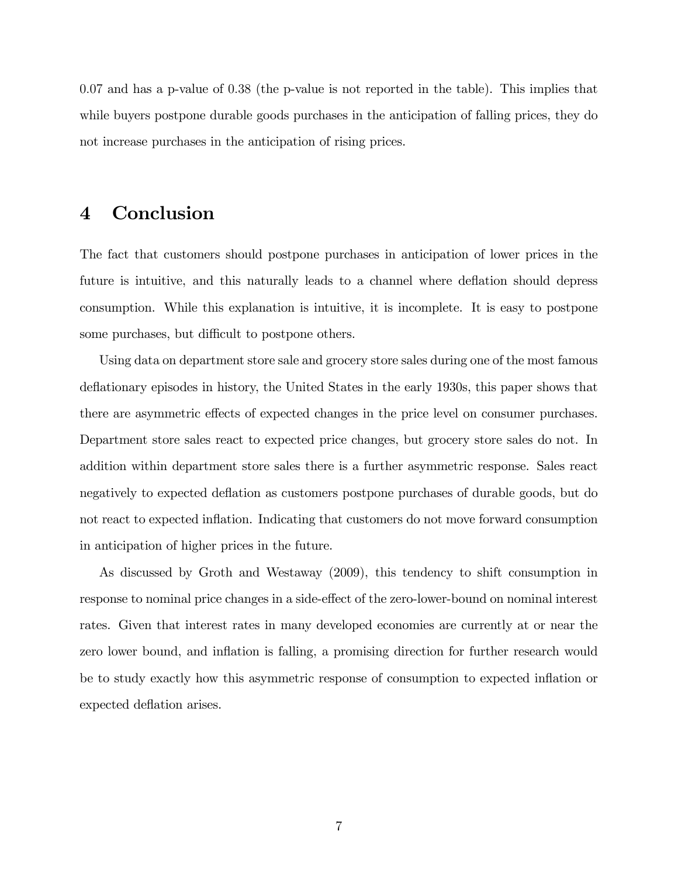0:07 and has a p-value of 0:38 (the p-value is not reported in the table). This implies that while buyers postpone durable goods purchases in the anticipation of falling prices, they do not increase purchases in the anticipation of rising prices.

## 4 Conclusion

The fact that customers should postpone purchases in anticipation of lower prices in the future is intuitive, and this naturally leads to a channel where deflation should depress consumption. While this explanation is intuitive, it is incomplete. It is easy to postpone some purchases, but difficult to postpone others.

Using data on department store sale and grocery store sales during one of the most famous deflationary episodes in history, the United States in the early 1930s, this paper shows that there are asymmetric effects of expected changes in the price level on consumer purchases. Department store sales react to expected price changes, but grocery store sales do not. In addition within department store sales there is a further asymmetric response. Sales react negatively to expected deáation as customers postpone purchases of durable goods, but do not react to expected ináation. Indicating that customers do not move forward consumption in anticipation of higher prices in the future.

As discussed by Groth and Westaway (2009), this tendency to shift consumption in response to nominal price changes in a side-effect of the zero-lower-bound on nominal interest rates. Given that interest rates in many developed economies are currently at or near the zero lower bound, and inflation is falling, a promising direction for further research would be to study exactly how this asymmetric response of consumption to expected ináation or expected deflation arises.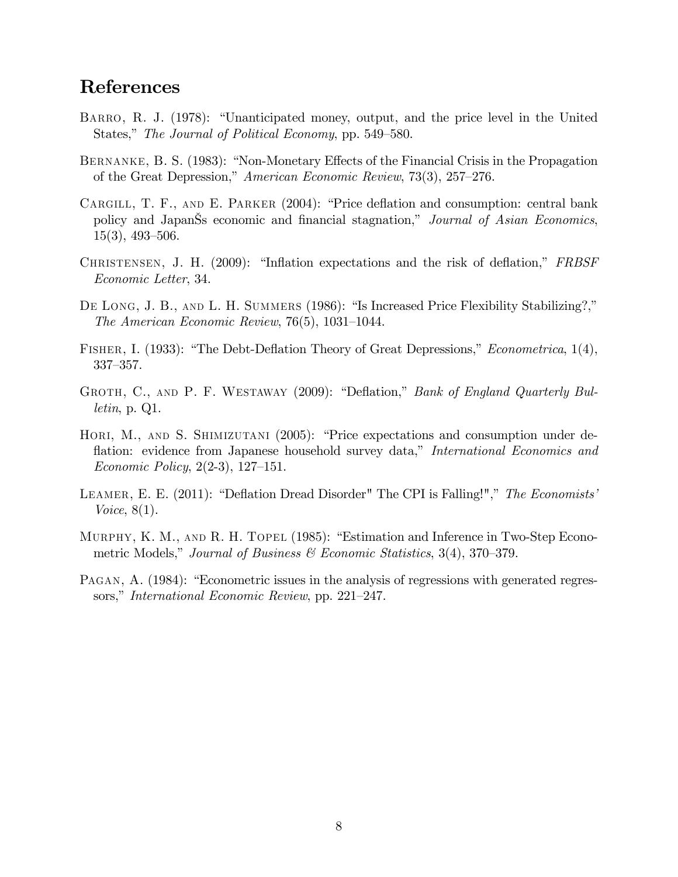## References

- BARRO, R. J. (1978): "Unanticipated money, output, and the price level in the United States," The Journal of Political Economy, pp. 549–580.
- BERNANKE, B. S. (1983): "Non-Monetary Effects of the Financial Crisis in the Propagation of the Great Depression," American Economic Review, 73(3), 257–276.
- CARGILL, T. F., AND E. PARKER  $(2004)$ : "Price deflation and consumption: central bank policy and Japan's economic and financial stagnation," Journal of Asian Economics,  $15(3)$ , 493–506.
- CHRISTENSEN, J. H. (2009): "Inflation expectations and the risk of deflation," FRBSF Economic Letter, 34.
- DE LONG, J. B., AND L. H. SUMMERS (1986): "Is Increased Price Flexibility Stabilizing?," The American Economic Review,  $76(5)$ ,  $1031-1044$ .
- FISHER, I. (1933): "The Debt-Deflation Theory of Great Depressions," Econometrica, 1(4),  $337 - 357$ .
- GROTH, C., AND P. F. WESTAWAY (2009): "Deflation," Bank of England Quarterly Bulletin, p. Q1.
- HORI, M., AND S. SHIMIZUTANI (2005): "Price expectations and consumption under deflation: evidence from Japanese household survey data," International Economics and Economic Policy,  $2(2-3)$ , 127–151.
- LEAMER, E. E.  $(2011)$ : "Deflation Dread Disorder" The CPI is Falling!"," The Economists' Voice, 8(1).
- MURPHY, K. M., AND R. H. TOPEL (1985): "Estimation and Inference in Two-Step Econometric Models," Journal of Business & Economic Statistics,  $3(4)$ ,  $370-379$ .
- PAGAN, A. (1984): "Econometric issues in the analysis of regressions with generated regressors," International Economic Review, pp. 221–247.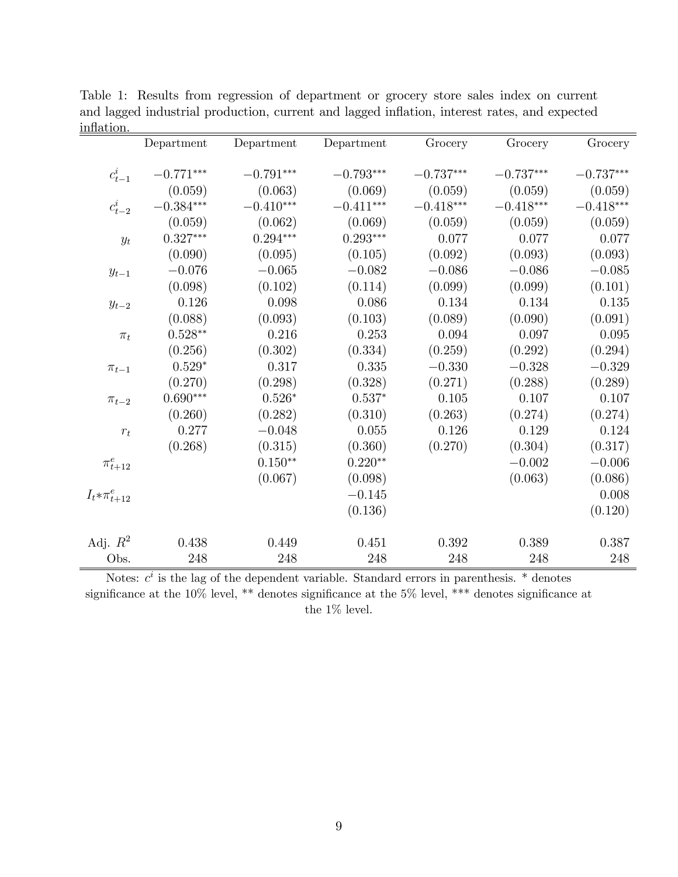| пшалоп.                 |             |             |             |             |             |             |
|-------------------------|-------------|-------------|-------------|-------------|-------------|-------------|
|                         | Department  | Department  | Department  | Grocery     | Grocery     | Grocery     |
|                         |             |             |             |             |             |             |
| $c_{t-1}^i$             | $-0.771***$ | $-0.791***$ | $-0.793***$ | $-0.737***$ | $-0.737***$ | $-0.737***$ |
|                         | (0.059)     | (0.063)     | (0.069)     | (0.059)     | (0.059)     | (0.059)     |
| $c_{t-2}^i$             | $-0.384***$ | $-0.410***$ | $-0.411***$ | $-0.418***$ | $-0.418***$ | $-0.418***$ |
|                         | (0.059)     | (0.062)     | (0.069)     | (0.059)     | (0.059)     | (0.059)     |
| $y_t$                   | $0.327***$  | $0.294***$  | $0.293***$  | 0.077       | 0.077       | 0.077       |
|                         | (0.090)     | (0.095)     | (0.105)     | (0.092)     | (0.093)     | (0.093)     |
| $y_{t-1}$               | $-0.076$    | $-0.065$    | $-0.082$    | $-0.086$    | $-0.086$    | $-0.085$    |
|                         | (0.098)     | (0.102)     | (0.114)     | (0.099)     | (0.099)     | (0.101)     |
| $y_{t-2}$               | 0.126       | 0.098       | 0.086       | 0.134       | 0.134       | 0.135       |
|                         | (0.088)     | (0.093)     | (0.103)     | (0.089)     | (0.090)     | (0.091)     |
| $\pi_t$                 | $0.528**$   | 0.216       | 0.253       | 0.094       | 0.097       | 0.095       |
|                         | (0.256)     | (0.302)     | (0.334)     | (0.259)     | (0.292)     | (0.294)     |
| $\pi_{t-1}$             | $0.529*$    | 0.317       | 0.335       | $-0.330$    | $-0.328$    | $-0.329$    |
|                         | (0.270)     | (0.298)     | (0.328)     | (0.271)     | (0.288)     | (0.289)     |
| $\pi_{t-2}$             | $0.690***$  | $0.526*$    | $0.537*$    | $0.105\,$   | $0.107\,$   | 0.107       |
|                         | (0.260)     | (0.282)     | (0.310)     | (0.263)     | (0.274)     | (0.274)     |
| $r_t$                   | 0.277       | $-0.048$    | $0.055\,$   | 0.126       | 0.129       | 0.124       |
|                         | (0.268)     | (0.315)     | (0.360)     | (0.270)     | (0.304)     | (0.317)     |
| $\pi^e_{t+12}$          |             | $0.150**$   | $0.220**$   |             | $-0.002$    | $-0.006$    |
|                         |             | (0.067)     | (0.098)     |             | (0.063)     | (0.086)     |
| $I_t \ast \pi_{t+12}^e$ |             |             | $-0.145$    |             |             | 0.008       |
|                         |             |             | (0.136)     |             |             | (0.120)     |
|                         |             |             |             |             |             |             |
| Adj. $R^2$              | 0.438       | 0.449       | 0.451       | 0.392       | 0.389       | 0.387       |
| Obs.                    | 248         | 248         | 248         | 248         | 248         | 248         |

Table 1: Results from regression of department or grocery store sales index on current and lagged industrial production, current and lagged inflation, interest rates, and expected inflation

Notes:  $c^i$  is the lag of the dependent variable. Standard errors in parenthesis.  $*$  denotes significance at the 10% level, \*\* denotes significance at the 5% level, \*\*\* denotes significance at the  $1\%$  level.